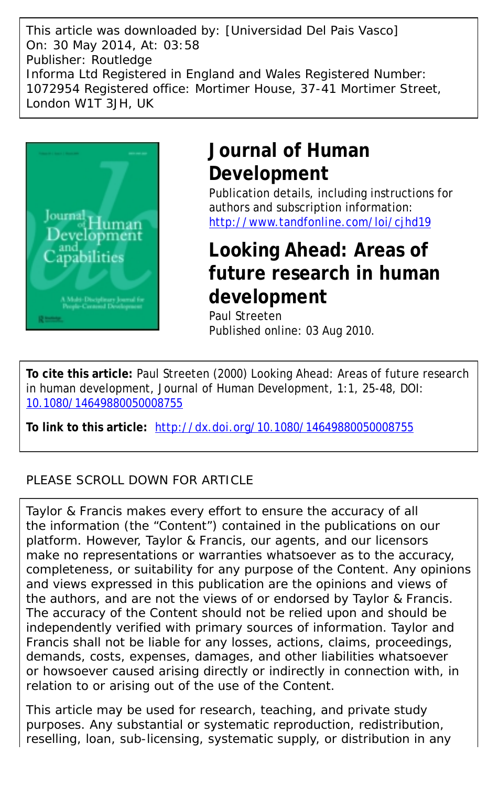This article was downloaded by: [Universidad Del Pais Vasco] On: 30 May 2014, At: 03:58 Publisher: Routledge Informa Ltd Registered in England and Wales Registered Number: 1072954 Registered office: Mortimer House, 37-41 Mortimer Street, London W1T 3JH, UK



## **Journal of Human Development**

Publication details, including instructions for authors and subscription information: http://www.tandfonline.com/loi/cihd19

# **Looking Ahead: Areas of future research in human development**

Paul Streeten Published online: 03 Aug 2010.

**To cite this article:** Paul Streeten (2000) Looking Ahead: Areas of future research in human development, Journal of Human Development, 1:1, 25-48, DOI: [10.1080/14649880050008755](http://www.tandfonline.com/action/showCitFormats?doi=10.1080/14649880050008755)

**To link to this article:** <http://dx.doi.org/10.1080/14649880050008755>

## PLEASE SCROLL DOWN FOR ARTICLE

Taylor & Francis makes every effort to ensure the accuracy of all the information (the "Content") contained in the publications on our platform. However, Taylor & Francis, our agents, and our licensors make no representations or warranties whatsoever as to the accuracy, completeness, or suitability for any purpose of the Content. Any opinions and views expressed in this publication are the opinions and views of the authors, and are not the views of or endorsed by Taylor & Francis. The accuracy of the Content should not be relied upon and should be independently verified with primary sources of information. Taylor and Francis shall not be liable for any losses, actions, claims, proceedings, demands, costs, expenses, damages, and other liabilities whatsoever or howsoever caused arising directly or indirectly in connection with, in relation to or arising out of the use of the Content.

This article may be used for research, teaching, and private study purposes. Any substantial or systematic reproduction, redistribution, reselling, loan, sub-licensing, systematic supply, or distribution in any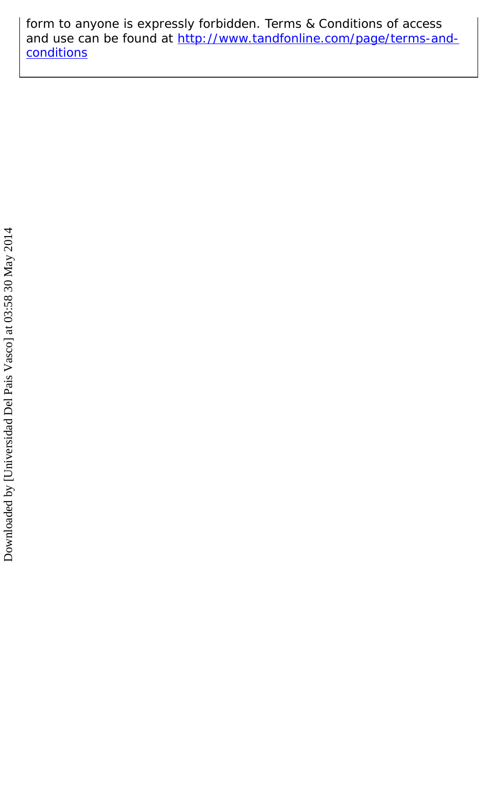form to anyone is expressly forbidden. Terms & Conditions of access and use can be found at [http://www.tandfonline.com/page/terms-and](http://www.tandfonline.com/page/terms-and-conditions)**[conditions](http://www.tandfonline.com/page/terms-and-conditions)**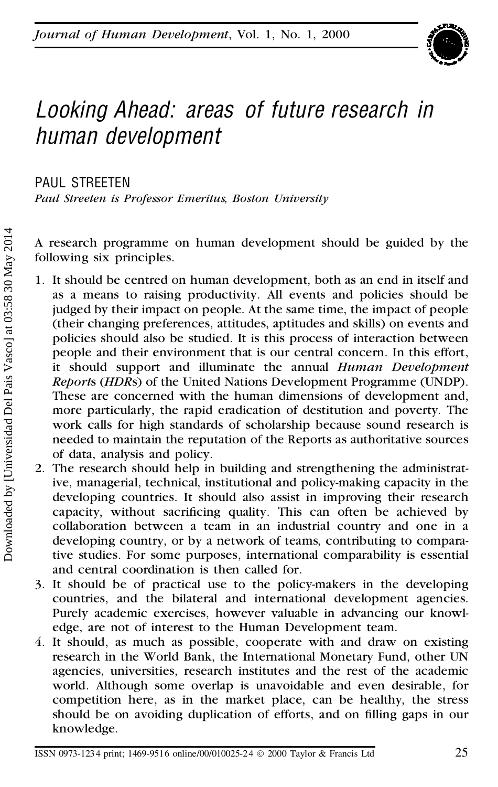

# *Looking Ahead: areas of future research in human development*

PAUL STREETEN

*Paul Streeten is Professor Emeritus, Boston University*

A research programme on human development should be guided by the following six principles.

- 1. It should be centred on human development, both as an end in itself and as a means to raising productivity. All events and policies should be judged by their impact on people. At the same time, the impact of people (their changing preferences, attitudes, aptitudes and skills) on events and policies should also be studied. It is this process of interaction between people and their environment that is our central concern. In this effort, it should support and illuminate the annual *Human Development Report*s (*HDR*s) of the United Nations Development Programme (UNDP). These are concerned with the human dimensions of development and, more particularly, the rapid eradication of destitution and poverty. The work calls for high standards of scholarship because sound research is needed to maintain the reputation of the Reports as authoritative sources of data, analysis and policy.
- 2. The research should help in building and strengthening the administrative, managerial, technical, institutional and policy-making capacity in the developing countries. It should also assist in improving their research capacity, without sacrificing quality. This can often be achieved by collaboration between a team in an industrial country and one in a developing country, or by a network of teams, contributing to comparative studies. For some purposes, international comparability is essential and central coordination is then called for.
- 3. It should be of practical use to the policy-makers in the developing countries, and the bilateral and international development agencies. Purely academic exercises, however valuable in advancing our knowl edge, are not of interest to the Human Development team.
- 4. It should, as much as possible, cooperate with and draw on existing research in the World Bank, the International Monetary Fund, other UN agencies, universities, research institutes and the rest of the academic world. Although some overlap is unavoidable and even desirable, for competition here, as in the market place, can be healthy, the stress should be on avoiding duplication of efforts, and on filling gaps in our knowledge.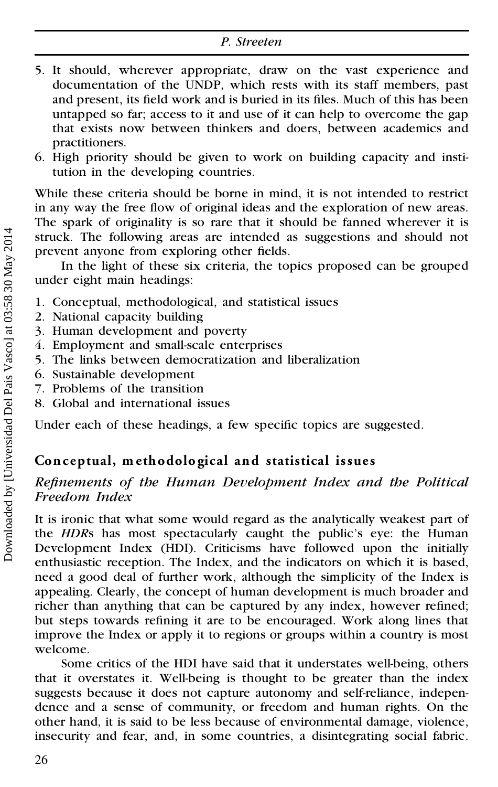#### *P. Streeten*

- 5. It should, wherever appropriate, draw on the vast experience and documentation of the UNDP, which rests with its staff members, past and present, its field work and is buried in its files. Much of this has been untapped so far; access to it and use of it can help to overcome the gap that exists now between thinkers and doers, between academics and practitioners.
- 6. High priority should be given to work on building capacity and institution in the developing countries.

While these criteria should be borne in mind, it is not intended to restrict in any way the free flow of original ideas and the exploration of new areas. The spark of originality is so rare that it should be fanned wherever it is struck. The following areas are intended as suggestions and should not prevent anyone from exploring other fields.

In the light of these six criteria, the topics proposed can be grouped under eight main headings:

- 1. Conceptual, methodological, and statistical issues
- 2. National capacity building
- 3. Human development and poverty
- 4. Employment and small-scale enterprises
- 5. The links between democratization and liberalization
- 6. Sustainable development
- 7. Problems of the transition
- 8. Global and international issues

Under each of these headings, a few specific topics are suggested.

## **Conceptual, methodological and statistical issues**

## *Renements of the Human Development Index and the Political Freedom Index*

It is ironic that what some would regard as the analytically weakest part of the *HDR*s has most spectacularly caught the public's eye: the Human Development Index (HDI). Criticisms have followed upon the initially enthusiastic reception. The Index, and the indicators on which it is based, need a good deal of further work, although the simplicity of the Index is appealing. Clearly, the concept of human development is much broader and richer than anything that can be captured by any index, however refined; but steps towards refining it are to be encouraged. Work along lines that improve the Index or apply it to regions or groups within a country is most welcome.

Some critics of the HDI have said that it understates well-being, others that it overstates it. Well-being is thought to be greater than the index suggests because it does not capture autonomy and self-reliance, indepen dence and a sense of community, or freedom and human rights. On the other hand, it is said to be less because of environmental damage, violence, insecurity and fear, and, in some countries, a disintegrating social fabric.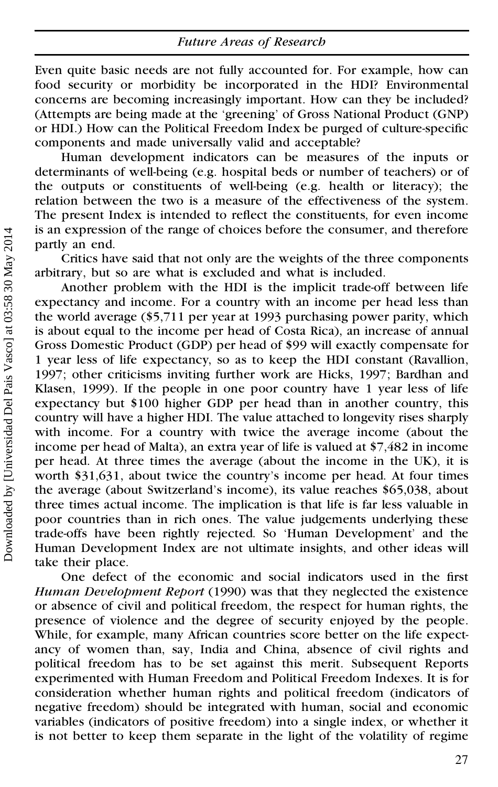Even quite basic needs are not fully accounted for. For example, how can food security or morbidity be incorporated in the HDI? Environmental concerns are becoming increasingly important. How can they be included? (Attempts are being made at the 'greening' of Gross National Product (GNP) or HDI.) How can the Political Freedom Index be purged of culture-specific components and made universally valid and acceptable?

Human development indicators can be measures of the inputs or determinants of well-being (e.g. hospital beds or number of teachers) or of the outputs or constituents of well-being (e.g. health or literacy); the relation between the two is a measure of the effectiveness of the system. The present Index is intended to reflect the constituents, for even income is an expression of the range of choices before the consumer, and therefore partly an end.

Critics have said that not only are the weights of the three components arbitrary, but so are what is excluded and what is included.

Another problem with the HDI is the implicit trade-off between life expectancy and income. For a country with an income per head less than the world average (\$5,711 per year at 1993 purchasing power parity, which is about equal to the income per head of Costa Rica), an increase of annual Gross Domestic Product (GDP) per head of \$99 will exactly compensate for 1 year less of life expectancy, so as to keep the HDI constant (Ravallion, 1997; other criticisms inviting further work are Hicks, 1997; Bardhan and Klasen, 1999). If the people in one poor country have 1 year less of life expectancy but \$100 higher GDP per head than in another country, this country will have a higher HDI. The value attached to longevity rises sharply with income. For a country with twice the average income (about the income per head of Malta), an extra year of life is valued at \$7,482 in income per head. At three times the average (about the income in the UK), it is worth \$31,631, about twice the country's income per head. At four times the average (about Switzerland's income), its value reaches \$65,038, about three times actual income. The implication is that life is far less valuable in poor countries than in rich ones. The value judgements underlying these trade-offs have been rightly rejected. So 'Human Development' and the Human Development Index are not ultimate insights, and other ideas will take their place.

One defect of the economic and social indicators used in the first *Human Development Report* (1990) was that they neglected the existence or absence of civil and political freedom, the respect for human rights, the presence of violence and the degree of security enjoyed by the people. While, for example, many African countries score better on the life expect ancy of women than, say, India and China, absence of civil rights and political freedom has to be set against this merit. Subsequent Reports experimented with Human Freedom and Political Freedom Indexes. It is for consideration whether human rights and political freedom (indicators of negative freedom) should be integrated with human, social and economic variables (indicators of positive freedom) into a single index, or whether it is not better to keep them separate in the light of the volatility of regime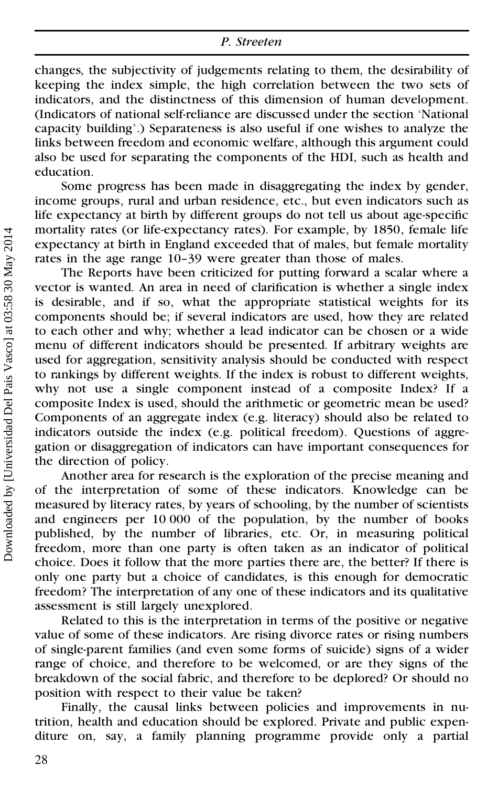changes, the subjectivity of judgements relating to them, the desirability of keeping the index simple, the high correlation between the two sets of indicators, and the distinctness of this dimension of human development. (Indicators of national self-reliance are discussed under the section 'National capacity building'.) Separateness is also useful if one wishes to analyze the links between freedom and economic welfare, although this argument could also be used for separating the components of the HDI, such as health and education.

Some progress has been made in disaggregating the index by gender, income groups, rural and urban residence, etc., but even indicators such as life expectancy at birth by different groups do not tell us about age-specific mortality rates (or life-expectancy rates). For example, by 1850, female life expectancy at birth in England exceeded that of males, but female mortality rates in the age range 10–39 were greater than those of males.

The Reports have been criticized for putting forward a scalar where a vector is wanted. An area in need of clarification is whether a single index is desirable, and if so, what the appropriate statistical weights for its components should be; if several indicators are used, how they are related to each other and why; whether a lead indicator can be chosen or a wide menu of different indicators should be presented. If arbitrary weights are used for aggregation, sensitivity analysis should be conducted with respect to rankings by different weights. If the index is robust to different weights, why not use a single component instead of a composite Index? If a composite Index is used, should the arithmetic or geometric mean be used? Components of an aggregate index (e.g. literacy) should also be related to indicators outside the index (e.g. political freedom). Questions of aggre gation or disaggregation of indicators can have important consequences for the direction of policy.

Another area for research is the exploration of the precise meaning and of the interpretation of some of these indicators. Knowledge can be measured by literacy rates, by years of schooling, by the number of scientists and engineers per 10 000 of the population, by the number of books published, by the number of libraries, etc. Or, in measuring political freedom, more than one party is often taken as an indicator of political choice. Does it follow that the more parties there are, the better? If there is only one party but a choice of candidates, is this enough for democratic freedom? The interpretation of any one of these indicators and its qualitative assessment is still largely unexplored.

Related to this is the interpretation in terms of the positive or negative value of some of these indicators. Are rising divorce rates or rising numbers of single-parent families (and even some forms of suicide) signs of a wider range of choice, and therefore to be welcomed, or are they signs of the breakdown of the social fabric, and therefore to be deplored? Or should no position with respect to their value be taken?

Finally, the causal links between policies and improvements in nutrition, health and education should be explored. Private and public expen diture on, say, a family planning programme provide only a partial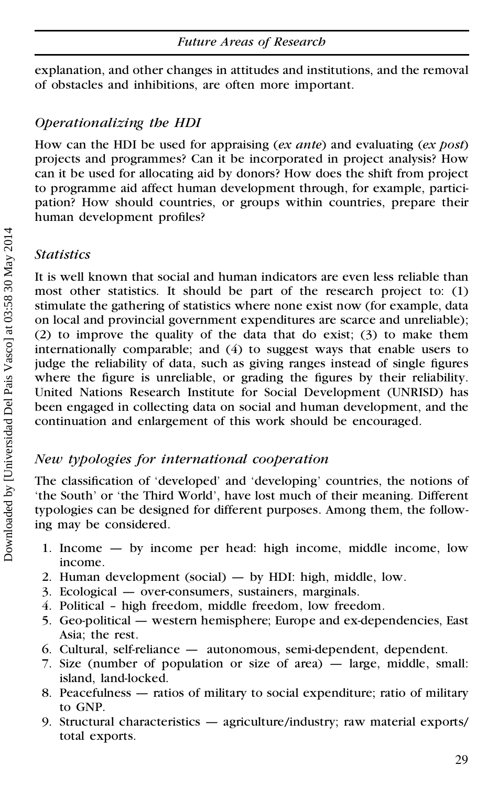explanation, and other changes in attitudes and institutions, and the removal of obstacles and inhibitions, are often more important.

## *Operationalizing the HDI*

How can the HDI be used for appraising (*ex ante*) and evaluating (*ex post*) projects and programmes? Can it be incorporated in project analysis? How can it be used for allocating aid by donors? How does the shift from project to programme aid affect human development through, for example, partici pation? How should countries, or groups within countries, prepare their human development profiles?

## *Statistics*

It is well known that social and human indicators are even less reliable than most other statistics. It should be part of the research project to: (1) stimulate the gathering of statistics where none exist now (for example, data on local and provincial government expenditures are scarce and unreliable); (2) to improve the quality of the data that do exist; (3) to make them internationally comparable; and (4) to suggest ways that enable users to judge the reliability of data, such as giving ranges instead of single figures where the figure is unreliable, or grading the figures by their reliability. United Nations Research Institute for Social Development (UNRISD) has been engaged in collecting data on social and human development, and the continuation and enlargement of this work should be encouraged.

## *New typologies for international cooperation*

The classification of 'developed' and 'developing' countries, the notions of 'the South' or 'the Third World', have lost much of their meaning. Different typologies can be designed for different purposes. Among them, the following may be considered.

- 1. Income by income per head: high income, middle income, low income.
- 2. Human development (social) by HDI: high, middle, low.
- 3. Ecological over-consumers, sustainers, marginals.
- 4. Political high freedom, middle freedom, low freedom.
- 5. Geo-political western hemisphere; Europe and ex-dependencies, East Asia; the rest.
- 6. Cultural, self-reliance autonomous, semi-dependent, dependent.
- 7. Size (number of population or size of area) large, middle, small: island, land-locked.
- 8. Peacefulness ratios of military to social expenditure; ratio of military to GNP.
- 9. Structural characteristics agriculture/industry; raw material exports/ total exports.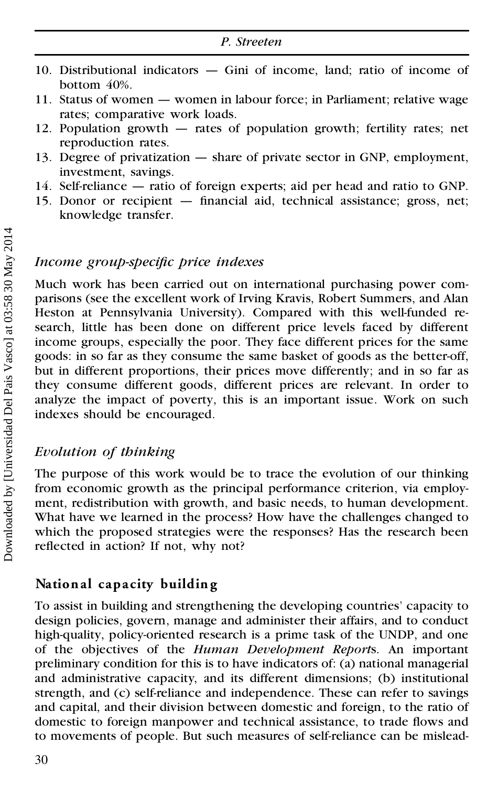- 10. Distributional indicators Gini of income, land; ratio of income of bottom 40%.
- 11. Status of women women in labour force; in Parliament; relative wage rates; comparative work loads.
- 12. Population growth rates of population growth; fertility rates; net reproduction rates.
- 13. Degree of privatization share of private sector in GNP, employment, investment, savings.
- 14. Self-reliance ratio of foreign experts; aid per head and ratio to GNP.
- 15. Donor or recipient nancial aid, technical assistance; gross, net; knowledge transfer.

## *Income group-specic price indexes*

Much work has been carried out on international purchasing power com parisons (see the excellent work of Irving Kravis, Robert Summers, and Alan Heston at Pennsylvania University). Compared with this well-funded re search, little has been done on different price levels faced by different income groups, especially the poor. They face different prices for the same goods: in so far as they consume the same basket of goods as the better-off, but in different proportions, their prices move differently; and in so far as they consume different goods, different prices are relevant. In order to analyze the impact of poverty, this is an important issue. Work on such indexes should be encouraged.

## *Evolution of thinking*

The purpose of this work would be to trace the evolution of our thinking from economic growth as the principal performance criterion, via employ ment, redistribution with growth, and basic needs, to human development. What have we learned in the process? How have the challenges changed to which the proposed strategies were the responses? Has the research been reflected in action? If not, why not?

## **National capacity building**

To assist in building and strengthening the developing countries' capacity to design policies, govern, manage and administer their affairs, and to conduct high-quality, policy-oriented research is a prime task of the UNDP, and one of the objectives of the *Human Development Report*s. An important preliminary condition for this is to have indicators of: (a) national managerial and administrative capacity, and its different dimensions; (b) institutional strength, and (c) self-reliance and independence. These can refer to savings and capital, and their division between domestic and foreign, to the ratio of domestic to foreign manpower and technical assistance, to trade flows and to movements of people. But such measures of self-reliance can be mislead-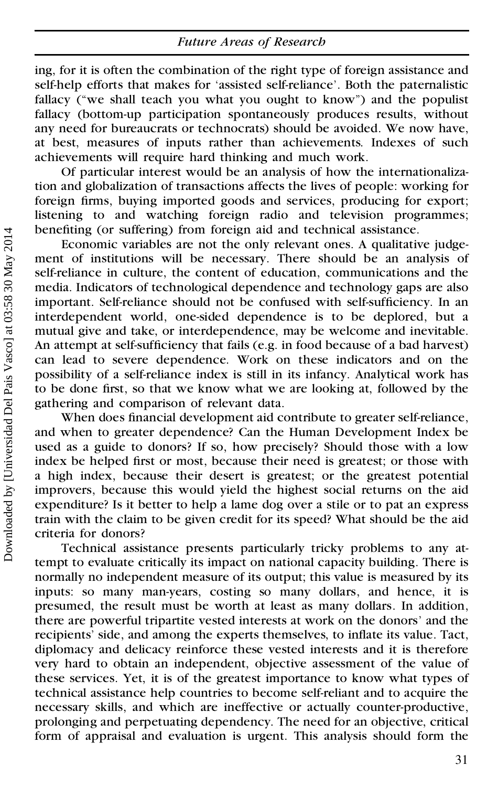ing, for it is often the combination of the right type of foreign assistance and self-help efforts that makes for 'assisted self-reliance'. Both the paternalistic fallacy ("we shall teach you what you ought to know") and the populist fallacy (bottom-up participation spontaneously produces results, without any need for bureaucrats or technocrats) should be avoided. We now have, at best, measures of inputs rather than achievements. Indexes of such achievements will require hard thinking and much work.

Of particular interest would be an analysis of how the internationalization and globalization of transactions affects the lives of people: working for foreign firms, buying imported goods and services, producing for export; listening to and watching foreign radio and television programmes; beneting (or suffering) from foreign aid and technical assistance.

Economic variables are not the only relevant ones. A qualitative judge ment of institutions will be necessary. There should be an analysis of self-reliance in culture, the content of education, communications and the media. Indicators of technological dependence and technology gaps are also important. Self-reliance should not be confused with self-sufficiency. In an interdependent world, one-sided dependence is to be deplored, but a mutual give and take, or interdependence, may be welcome and inevitable. An attempt at self-sufficiency that fails (e.g. in food because of a bad harvest) can lead to severe dependence. Work on these indicators and on the possibility of a self-reliance index is still in its infancy. Analytical work has to be done first, so that we know what we are looking at, followed by the gathering and comparison of relevant data.

When does financial development aid contribute to greater self-reliance, and when to greater dependence? Can the Human Development Index be used as a guide to donors? If so, how precisely? Should those with a low index be helped first or most, because their need is greatest; or those with a high index, because their desert is greatest; or the greatest potential improvers, because this would yield the highest social returns on the aid expenditure? Is it better to help a lame dog over a stile or to pat an express train with the claim to be given credit for its speed? What should be the aid criteria for donors?

Technical assistance presents particularly tricky problems to any attempt to evaluate critically its impact on national capacity building. There is normally no independent measure of its output; this value is measured by its inputs: so many man-years, costing so many dollars, and hence, it is presumed, the result must be worth at least as many dollars. In addition, there are powerful tripartite vested interests at work on the donors' and the recipients' side, and among the experts themselves, to inflate its value. Tact, diplomacy and delicacy reinforce these vested interests and it is therefore very hard to obtain an independent, objective assessment of the value of these services. Yet, it is of the greatest importance to know what types of technical assistance help countries to become self-reliant and to acquire the necessary skills, and which are ineffective or actually counter-productive, prolonging and perpetuating dependency. The need for an objective, critical form of appraisal and evaluation is urgent. This analysis should form the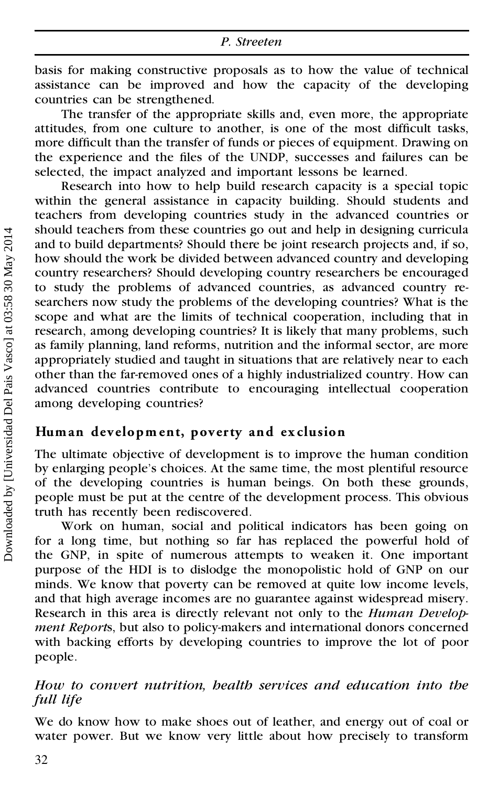basis for making constructive proposals as to how the value of technical assistance can be improved and how the capacity of the developing countries can be strengthened.

The transfer of the appropriate skills and, even more, the appropriate attitudes, from one culture to another, is one of the most difficult tasks, more difficult than the transfer of funds or pieces of equipment. Drawing on the experience and the files of the UNDP, successes and failures can be selected, the impact analyzed and important lessons be learned.

Research into how to help build research capacity is a special topic within the general assistance in capacity building. Should students and teachers from developing countries study in the advanced countries or should teachers from these countries go out and help in designing curricula and to build departments? Should there be joint research projects and, if so, how should the work be divided between advanced country and developing country researchers? Should developing country researchers be encouraged to study the problems of advanced countries, as advanced country re searchers now study the problems of the developing countries? What is the scope and what are the limits of technical cooperation, including that in research, among developing countries? It is likely that many problems, such as family planning, land reforms, nutrition and the informal sector, are more appropriately studied and taught in situations that are relatively near to each other than the far-removed ones of a highly industrialized country. How can advanced countries contribute to encouraging intellectual cooperation among developing countries?

## **Human development, poverty and ex clusion**

The ultimate objective of development is to improve the human condition by enlarging people's choices. At the same time, the most plentiful resource of the developing countries is human beings. On both these grounds, people must be put at the centre of the development process. This obvious truth has recently been rediscovered.

Work on human, social and political indicators has been going on for a long time, but nothing so far has replaced the powerful hold of the GNP, in spite of numerous attempts to weaken it. One important purpose of the HDI is to dislodge the monopolistic hold of GNP on our minds. We know that poverty can be removed at quite low income levels, and that high average incomes are no guarantee against widespread misery. Research in this area is directly relevant not only to the *Human Develop ment Report*s, but also to policy-makers and international donors concerned with backing efforts by developing countries to improve the lot of poor people.

## *How to convert nutrition, health services and education into the full life*

We do know how to make shoes out of leather, and energy out of coal or water power. But we know very little about how precisely to transform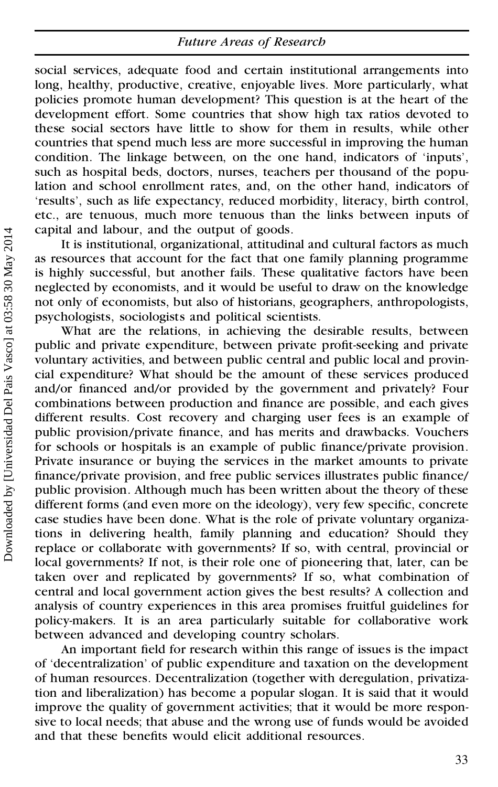social services, adequate food and certain institutional arrangements into long, healthy, productive, creative, enjoyable lives. More particularly, what policies promote human development? This question is at the heart of the development effort. Some countries that show high tax ratios devoted to these social sectors have little to show for them in results, while other countries that spend much less are more successful in improving the human condition. The linkage between, on the one hand, indicators of 'inputs', such as hospital beds, doctors, nurses, teachers per thousand of the population and school enrollment rates, and, on the other hand, indicators of 'results', such as life expectancy, reduced morbidity, literacy, birth control, etc., are tenuous, much more tenuous than the links between inputs of capital and labour, and the output of goods.

It is institutional, organizational, attitudinal and cultural factors as much as resources that account for the fact that one family planning programme is highly successful, but another fails. These qualitative factors have been neglected by economists, and it would be useful to draw on the knowledge not only of economists, but also of historians, geographers, anthropologists, psychologists, sociologists and political scientists.

What are the relations, in achieving the desirable results, between public and private expenditure, between private profit-seeking and private voluntary activities, and between public central and public local and provin cial expenditure? What should be the amount of these services produced and/or nanced and/or provided by the government and privately? Four combinations between production and nance are possible, and each gives different results. Cost recovery and charging user fees is an example of public provision/private nance, and has merits and drawbacks. Vouchers for schools or hospitals is an example of public finance/private provision. Private insurance or buying the services in the market amounts to private finance/private provision, and free public services illustrates public finance/ public provision. Although much has been written about the theory of these different forms (and even more on the ideology), very few specific, concrete case studies have been done. What is the role of private voluntary organizations in delivering health, family planning and education? Should they replace or collaborate with governments? If so, with central, provincial or local governments? If not, is their role one of pioneering that, later, can be taken over and replicated by governments? If so, what combination of central and local government action gives the best results? A collection and analysis of country experiences in this area promises fruitful guidelines for policy-makers. It is an area particularly suitable for collaborative work between advanced and developing country scholars.

An important field for research within this range of issues is the impact of 'decentralization' of public expenditure and taxation on the development of human resources. Decentralization (together with deregulation, privatization and liberalization) has become a popular slogan. It is said that it would improve the quality of government activities; that it would be more respon sive to local needs; that abuse and the wrong use of funds would be avoided and that these benefits would elicit additional resources.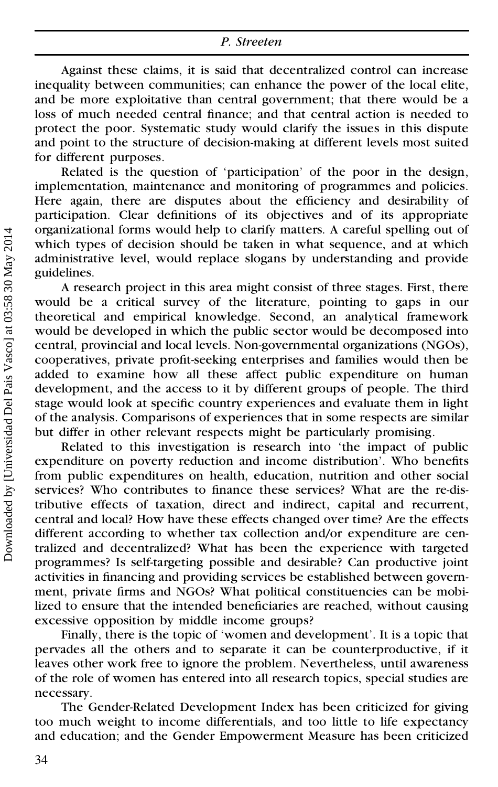#### *P. Streeten*

Against these claims, it is said that decentralized control can increase inequality between communities; can enhance the power of the local elite, and be more exploitative than central government; that there would be a loss of much needed central finance; and that central action is needed to protect the poor. Systematic study would clarify the issues in this dispute and point to the structure of decision-making at different levels most suited for different purposes.

Related is the question of 'participation' of the poor in the design, implementation, maintenance and monitoring of programmes and policies. Here again, there are disputes about the efficiency and desirability of participation. Clear definitions of its objectives and of its appropriate organizational forms would help to clarify matters. A careful spelling out of which types of decision should be taken in what sequence, and at which administrative level, would replace slogans by understanding and provide guidelines.

A research project in this area might consist of three stages. First, there would be a critical survey of the literature, pointing to gaps in our theoretical and empirical knowledge. Second, an analytical framework would be developed in which the public sector would be decomposed into central, provincial and local levels. Non-governmental organizations (NGOs), cooperatives, private profit-seeking enterprises and families would then be added to examine how all these affect public expenditure on human development, and the access to it by different groups of people. The third stage would look at specific country experiences and evaluate them in light of the analysis. Comparisons of experiences that in some respects are similar but differ in other relevant respects might be particularly promising.

Related to this investigation is research into 'the impact of public expenditure on poverty reduction and income distribution'. Who benefits from public expenditures on health, education, nutrition and other social services? Who contributes to finance these services? What are the re-distributive effects of taxation, direct and indirect, capital and recurrent, central and local? How have these effects changed over time? Are the effects different according to whether tax collection and/or expenditure are centralized and decentralized? What has been the experience with targeted programmes? Is self-targeting possible and desirable? Can productive joint activities in financing and providing services be established between government, private firms and NGOs? What political constituencies can be mobilized to ensure that the intended beneficiaries are reached, without causing excessive opposition by middle income groups?

Finally, there is the topic of 'women and development'. It is a topic that pervades all the others and to separate it can be counterproductive, if it leaves other work free to ignore the problem. Nevertheless, until awareness of the role of women has entered into all research topics, special studies are necessary.

The Gender-Related Development Index has been criticized for giving too much weight to income differentials, and too little to life expectancy and education; and the Gender Empowerment Measure has been criticized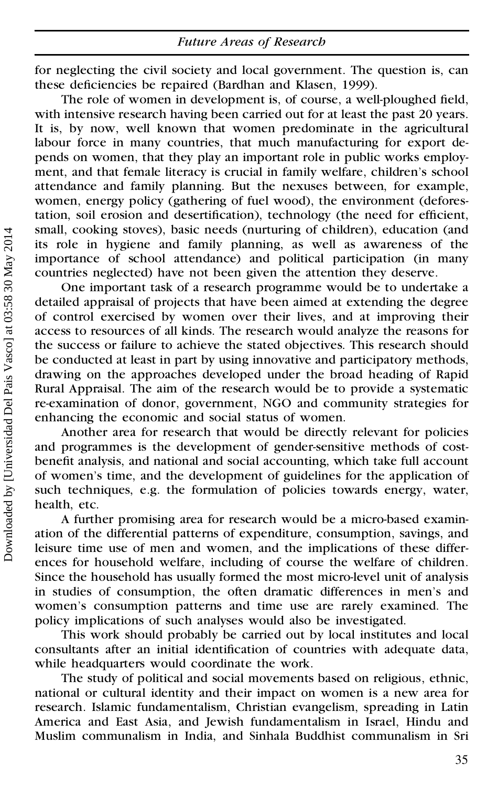for neglecting the civil society and local government. The question is, can these deficiencies be repaired (Bardhan and Klasen, 1999).

The role of women in development is, of course, a well-ploughed field, with intensive research having been carried out for at least the past 20 years. It is, by now, well known that women predominate in the agricultural labour force in many countries, that much manufacturing for export de pends on women, that they play an important role in public works employ ment, and that female literacy is crucial in family welfare, children's school attendance and family planning. But the nexuses between, for example, women, energy policy (gathering of fuel wood), the environment (deforestation, soil erosion and desertification), technology (the need for efficient, small, cooking stoves), basic needs (nurturing of children), education (and its role in hygiene and family planning, as well as awareness of the importance of school attendance) and political participation (in many countries neglected) have not been given the attention they deserve.

One important task of a research programme would be to undertake a detailed appraisal of projects that have been aimed at extending the degree of control exercised by women over their lives, and at improving their access to resources of all kinds. The research would analyze the reasons for the success or failure to achieve the stated objectives. This research should be conducted at least in part by using innovative and participatory methods, drawing on the approaches developed under the broad heading of Rapid Rural Appraisal. The aim of the research would be to provide a systematic re-examination of donor, government, NGO and community strategies for enhancing the economic and social status of women.

Another area for research that would be directly relevant for policies and programmes is the development of gender-sensitive methods of cost benefit analysis, and national and social accounting, which take full account of women's time, and the development of guidelines for the application of such techniques, e.g. the formulation of policies towards energy, water, health, etc.

A further promising area for research would be a micro-based examin ation of the differential patterns of expenditure, consumption, savings, and leisure time use of men and women, and the implications of these differ ences for household welfare, including of course the welfare of children. Since the household has usually formed the most micro-level unit of analysis in studies of consumption, the often dramatic differences in men's and women's consumption patterns and time use are rarely examined. The policy implications of such analyses would also be investigated.

This work should probably be carried out by local institutes and local consultants after an initial identification of countries with adequate data, while headquarters would coordinate the work.

The study of political and social movements based on religious, ethnic, national or cultural identity and their impact on women is a new area for research. Islamic fundamentalism, Christian evangelism, spreading in Latin America and East Asia, and Jewish fundamentalism in Israel, Hindu and Muslim communalism in India, and Sinhala Buddhist communalism in Sri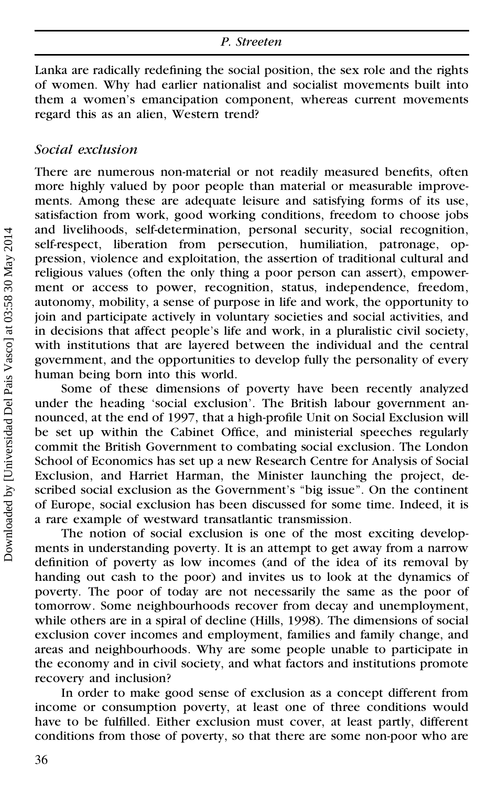Lanka are radically redening the social position, the sex role and the rights of women. Why had earlier nationalist and socialist movements built into them a women's emancipation component, whereas current movements regard this as an alien, Western trend?

## *Social exclusion*

There are numerous non-material or not readily measured benefits, often more highly valued by poor people than material or measurable improve ments. Among these are adequate leisure and satisfying forms of its use, satisfaction from work, good working conditions, freedom to choose jobs and livelihoods, self-determination, personal security, social recognition, self-respect, liberation from persecution, humiliation, patronage, op pression, violence and exploitation, the assertion of traditional cultural and religious values (often the only thing a poor person can assert), empower ment or access to power, recognition, status, independence, freedom, autonomy, mobility, a sense of purpose in life and work, the opportunity to join and participate actively in voluntary societies and social activities, and in decisions that affect people's life and work, in a pluralistic civil society, with institutions that are layered between the individual and the central government, and the opportunities to develop fully the personality of every human being born into this world.

Some of these dimensions of poverty have been recently analyzed under the heading 'social exclusion'. The British labour government an nounced, at the end of 1997, that a high-profile Unit on Social Exclusion will be set up within the Cabinet Office, and ministerial speeches regularly commit the British Government to combating social exclusion. The London School of Economics has set up a new Research Centre for Analysis of Social Exclusion, and Harriet Harman, the Minister launching the project, de scribed social exclusion as the Government's "big issue". On the continent of Europe, social exclusion has been discussed for some time. Indeed, it is a rare example of westward transatlantic transmission.

The notion of social exclusion is one of the most exciting develop ments in understanding poverty. It is an attempt to get away from a narrow definition of poverty as low incomes (and of the idea of its removal by handing out cash to the poor) and invites us to look at the dynamics of poverty. The poor of today are not necessarily the same as the poor of tomorrow. Some neighbourhoods recover from decay and unemployment, while others are in a spiral of decline (Hills, 1998). The dimensions of social exclusion cover incomes and employment, families and family change, and areas and neighbourhoods. Why are some people unable to participate in the economy and in civil society, and what factors and institutions promote recovery and inclusion?

In order to make good sense of exclusion as a concept different from income or consumption poverty, at least one of three conditions would have to be fulfilled. Either exclusion must cover, at least partly, different conditions from those of poverty, so that there are some non-poor who are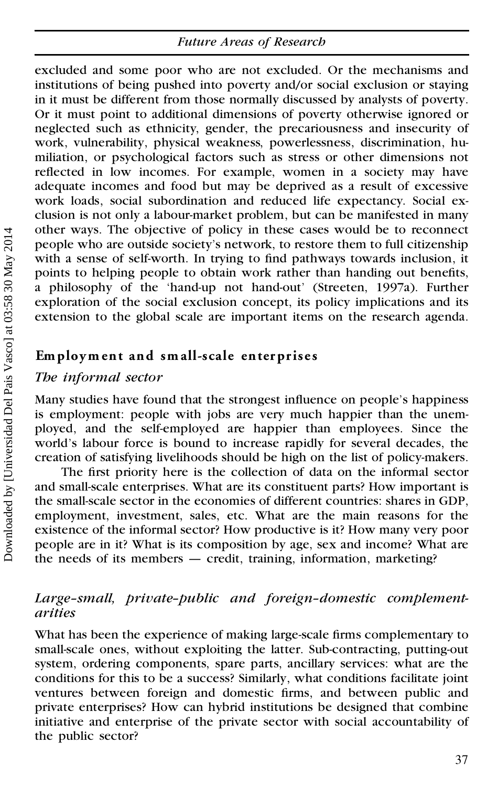excluded and some poor who are not excluded. Or the mechanisms and institutions of being pushed into poverty and/or social exclusion or staying in it must be different from those normally discussed by analysts of poverty. Or it must point to additional dimensions of poverty otherwise ignored or neglected such as ethnicity, gender, the precariousness and insecurity of work, vulnerability, physical weakness, powerlessness, discrimination, hu miliation, or psychological factors such as stress or other dimensions not reflected in low incomes. For example, women in a society may have adequate incomes and food but may be deprived as a result of excessive work loads, social subordination and reduced life expectancy. Social ex clusion is not only a labour-market problem, but can be manifested in many other ways. The objective of policy in these cases would be to reconnect people who are outside society's network, to restore them to full citizenship with a sense of self-worth. In trying to find pathways towards inclusion, it points to helping people to obtain work rather than handing out benefits, a philosophy of the 'hand-up not hand-out' (Streeten, 1997a). Further exploration of the social exclusion concept, its policy implications and its extension to the global scale are important items on the research agenda.

## **Employment and small-scale enterprises**

#### *The informal sector*

Many studies have found that the strongest influence on people's happiness is employment: people with jobs are very much happier than the unem ployed, and the self-employed are happier than employees. Since the world's labour force is bound to increase rapidly for several decades, the creation of satisfying livelihoods should be high on the list of policy-makers.

The first priority here is the collection of data on the informal sector and small-scale enterprises. What are its constituent parts? How important is the small-scale sector in the economies of different countries: shares in GDP, employment, investment, sales, etc. What are the main reasons for the existence of the informal sector? How productive is it? How many very poor people are in it? What is its composition by age, sex and income? What are the needs of its members — credit, training, information, marketing?

## *Large–small, private–public and foreign–domestic complement arities*

What has been the experience of making large-scale firms complementary to small-scale ones, without exploiting the latter. Sub-contracting, putting-out system, ordering components, spare parts, ancillary services: what are the conditions for this to be a success? Similarly, what conditions facilitate joint ventures between foreign and domestic firms, and between public and private enterprises? How can hybrid institutions be designed that combine initiative and enterprise of the private sector with social accountability of the public sector?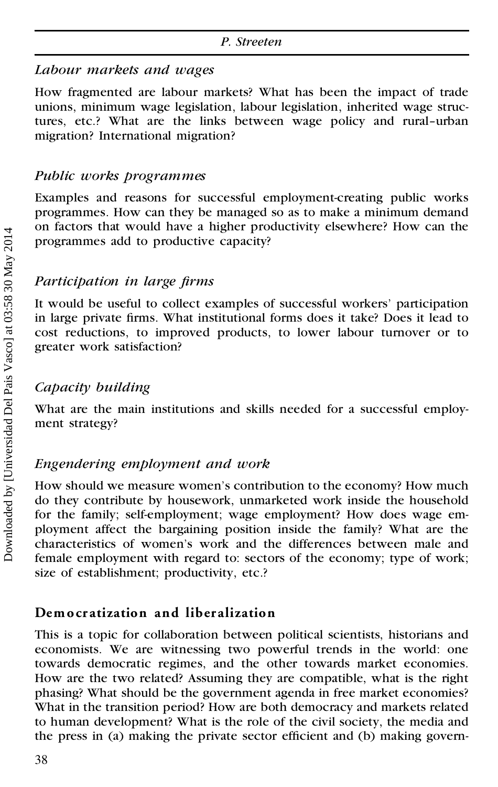## *Labour markets and wages*

How fragmented are labour markets? What has been the impact of trade unions, minimum wage legislation, labour legislation, inherited wage structures, etc.? What are the links between wage policy and rural–urban migration? International migration?

## *Public works programmes*

Examples and reasons for successful employment-creating public works programmes. How can they be managed so as to make a minimum demand on factors that would have a higher productivity elsewhere? How can the programmes add to productive capacity?

## *Participation in large firms*

It would be useful to collect examples of successful workers' participation in large private firms. What institutional forms does it take? Does it lead to cost reductions, to improved products, to lower labour turnover or to greater work satisfaction?

## *Capacity building*

What are the main institutions and skills needed for a successful employ ment strategy?

## *Engendering employment and work*

How should we measure women's contribution to the economy? How much do they contribute by housework, unmarketed work inside the household for the family; self-employment; wage employment? How does wage em ployment affect the bargaining position inside the family? What are the characteristics of women's work and the differences between male and female employment with regard to: sectors of the economy; type of work; size of establishment; productivity, etc.?

## **Democr atization and liber alization**

This is a topic for collaboration between political scientists, historians and economists. We are witnessing two powerful trends in the world: one towards democratic regimes, and the other towards market economies. How are the two related? Assuming they are compatible, what is the right phasing? What should be the government agenda in free market economies? What in the transition period? How are both democracy and markets related to human development? What is the role of the civil society, the media and the press in (a) making the private sector efficient and (b) making govern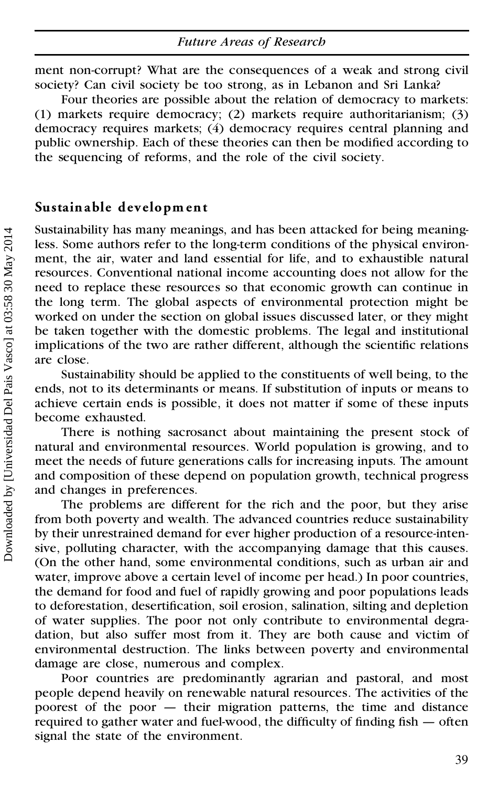ment non-corrupt? What are the consequences of a weak and strong civil society? Can civil society be too strong, as in Lebanon and Sri Lanka?

Four theories are possible about the relation of democracy to markets: (1) markets require democracy; (2) markets require authoritarianism; (3) democracy requires markets; (4) democracy requires central planning and public ownership. Each of these theories can then be modified according to the sequencing of reforms, and the role of the civil society.

## **Sustainable development**

Sustainability has many meanings, and has been attacked for being meaningless. Some authors refer to the long-term conditions of the physical environ ment, the air, water and land essential for life, and to exhaustible natural resources. Conventional national income accounting does not allow for the need to replace these resources so that economic growth can continue in the long term. The global aspects of environmental protection might be worked on under the section on global issues discussed later, or they might be taken together with the domestic problems. The legal and institutional implications of the two are rather different, although the scientific relations are close.

Sustainability should be applied to the constituents of well being, to the ends, not to its determinants or means. If substitution of inputs or means to achieve certain ends is possible, it does not matter if some of these inputs become exhausted.

There is nothing sacrosanct about maintaining the present stock of natural and environmental resources. World population is growing, and to meet the needs of future generations calls for increasing inputs. The amount and composition of these depend on population growth, technical progress and changes in preferences.

The problems are different for the rich and the poor, but they arise from both poverty and wealth. The advanced countries reduce sustainability by their unrestrained demand for ever higher production of a resource-inten sive, polluting character, with the accompanying damage that this causes. (On the other hand, some environmental conditions, such as urban air and water, improve above a certain level of income per head.) In poor countries, the demand for food and fuel of rapidly growing and poor populations leads to deforestation, desertification, soil erosion, salination, silting and depletion of water supplies. The poor not only contribute to environmental degra dation, but also suffer most from it. They are both cause and victim of environmental destruction. The links between poverty and environmental damage are close, numerous and complex.

Poor countries are predominantly agrarian and pastoral, and most people depend heavily on renewable natural resources. The activities of the poorest of the poor — their migration patterns, the time and distance required to gather water and fuel-wood, the difficulty of finding fish  $-$  often signal the state of the environment.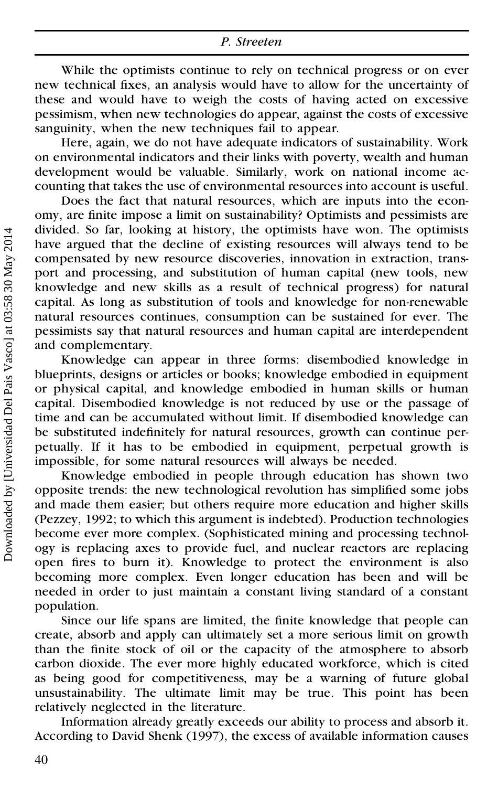While the optimists continue to rely on technical progress or on ever new technical fixes, an analysis would have to allow for the uncertainty of these and would have to weigh the costs of having acted on excessive pessimism, when new technologies do appear, against the costs of excessive sanguinity, when the new techniques fail to appear.

Here, again, we do not have adequate indicators of sustainability. Work on environmental indicators and their links with poverty, wealth and human development would be valuable. Similarly, work on national income ac counting that takes the use of environmental resources into account is useful.

Does the fact that natural resources, which are inputs into the econ omy, are finite impose a limit on sustainability? Optimists and pessimists are divided. So far, looking at history, the optimists have won. The optimists have argued that the decline of existing resources will always tend to be compensated by new resource discoveries, innovation in extraction, trans port and processing, and substitution of human capital (new tools, new knowledge and new skills as a result of technical progress) for natural capital. As long as substitution of tools and knowledge for non-renewable natural resources continues, consumption can be sustained for ever. The pessimists say that natural resources and human capital are interdependent and complementary.

Knowledge can appear in three forms: disembodied knowledge in blueprints, designs or articles or books; knowledge embodied in equipment or physical capital, and knowledge embodied in human skills or human capital. Disembodied knowledge is not reduced by use or the passage of time and can be accumulated without limit. If disembodied knowledge can be substituted indefinitely for natural resources, growth can continue perpetually. If it has to be embodied in equipment, perpetual growth is impossible, for some natural resources will always be needed.

Knowledge embodied in people through education has shown two opposite trends: the new technological revolution has simplified some jobs and made them easier; but others require more education and higher skills (Pezzey, 1992; to which this argument is indebted). Production technologies become ever more complex. (Sophisticated mining and processing technol ogy is replacing axes to provide fuel, and nuclear reactors are replacing open fires to burn it). Knowledge to protect the environment is also becoming more complex. Even longer education has been and will be needed in order to just maintain a constant living standard of a constant population.

Since our life spans are limited, the finite knowledge that people can create, absorb and apply can ultimately set a more serious limit on growth than the finite stock of oil or the capacity of the atmosphere to absorb carbon dioxide. The ever more highly educated workforce, which is cited as being good for competitiveness, may be a warning of future global unsustainability. The ultimate limit may be true. This point has been relatively neglected in the literature.

Information already greatly exceeds our ability to process and absorb it. According to David Shenk (1997), the excess of available information causes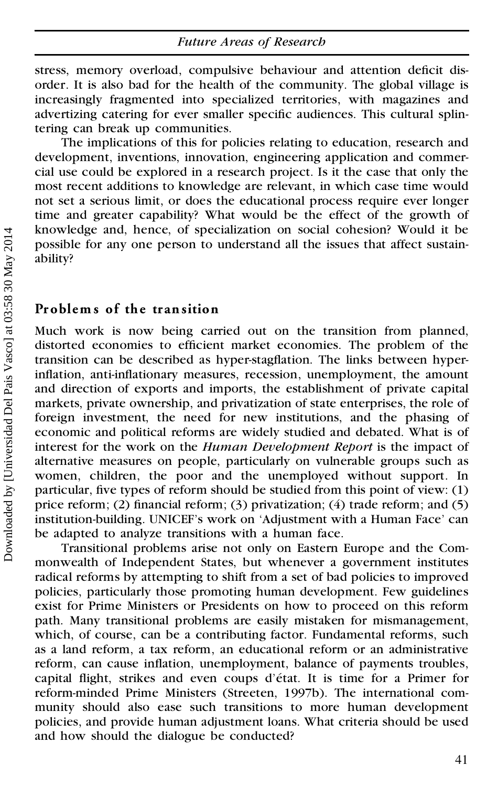stress, memory overload, compulsive behaviour and attention deficit disorder. It is also bad for the health of the community. The global village is increasingly fragmented into specialized territories, with magazines and advertizing catering for ever smaller specific audiences. This cultural splintering can break up communities.

The implications of this for policies relating to education, research and development, inventions, innovation, engineering application and commer cial use could be explored in a research project. Is it the case that only the most recent additions to knowledge are relevant, in which case time would not set a serious limit, or does the educational process require ever longer time and greater capability? What would be the effect of the growth of knowledge and, hence, of specialization on social cohesion? Would it be possible for any one person to understand all the issues that affect sustain ability?

## **Problems of the transition**

Much work is now being carried out on the transition from planned, distorted economies to efficient market economies. The problem of the transition can be described as hyper-stagflation. The links between hyperinflation, anti-inflationary measures, recession, unemployment, the amount and direction of exports and imports, the establishment of private capital markets, private ownership, and privatization of state enterprises, the role of foreign investment, the need for new institutions, and the phasing of economic and political reforms are widely studied and debated. What is of interest for the work on the *Human Development Report* is the impact of alternative measures on people, particularly on vulnerable groups such as women, children, the poor and the unemployed without support. In particular, five types of reform should be studied from this point of view:  $(1)$ price reform; (2) financial reform; (3) privatization; (4) trade reform; and (5) institution-building. UNICEF's work on 'Adjustment with a Human Face' can be adapted to analyze transitions with a human face.

Transitional problems arise not only on Eastern Europe and the Com monwealth of Independent States, but whenever a government institutes radical reforms by attempting to shift from a set of bad policies to improved policies, particularly those promoting human development. Few guidelines exist for Prime Ministers or Presidents on how to proceed on this reform path. Many transitional problems are easily mistaken for mismanagement, which, of course, can be a contributing factor. Fundamental reforms, such as a land reform, a tax reform, an educational reform or an administrative reform, can cause inflation, unemployment, balance of payments troubles, capital flight, strikes and even coups d'état. It is time for a Primer for reform-minded Prime Ministers (Streeten, 1997b). The international com munity should also ease such transitions to more human development policies, and provide human adjustment loans. What criteria should be used and how should the dialogue be conducted?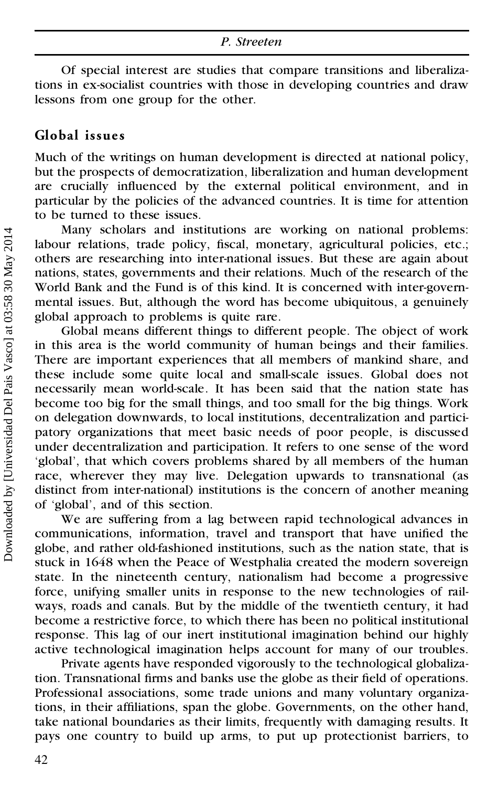Of special interest are studies that compare transitions and liberalizations in ex-socialist countries with those in developing countries and draw lessons from one group for the other.

#### **Global issues**

Much of the writings on human development is directed at national policy, but the prospects of democratization, liberalization and human development are crucially influenced by the external political environment, and in particular by the policies of the advanced countries. It is time for attention to be turned to these issues.

Many scholars and institutions are working on national problems: labour relations, trade policy, fiscal, monetary, agricultural policies, etc.; others are researching into inter-national issues. But these are again about nations, states, governments and their relations. Much of the research of the World Bank and the Fund is of this kind. It is concerned with inter-govern mental issues. But, although the word has become ubiquitous, a genuinely global approach to problems is quite rare.

Global means different things to different people. The object of work in this area is the world community of human beings and their families. There are important experiences that all members of mankind share, and these include some quite local and small-scale issues. Global does not necessarily mean world-scale. It has been said that the nation state has become too big for the small things, and too small for the big things. Work on delegation downwards, to local institutions, decentralization and partici patory organizations that meet basic needs of poor people, is discussed under decentralization and participation. It refers to one sense of the word 'global', that which covers problems shared by all members of the human race, wherever they may live. Delegation upwards to transnational (as distinct from inter-national) institutions is the concern of another meaning of 'global', and of this section.

We are suffering from a lag between rapid technological advances in communications, information, travel and transport that have unified the globe, and rather old-fashioned institutions, such as the nation state, that is stuck in 1648 when the Peace of Westphalia created the modern sovereign state. In the nineteenth century, nationalism had become a progressive force, unifying smaller units in response to the new technologies of rail ways, roads and canals. But by the middle of the twentieth century, it had become a restrictive force, to which there has been no political institutional response. This lag of our inert institutional imagination behind our highly active technological imagination helps account for many of our troubles.

Private agents have responded vigorously to the technological globalization. Transnational firms and banks use the globe as their field of operations. Professional associations, some trade unions and many voluntary organizations, in their afliations, span the globe. Governments, on the other hand, take national boundaries as their limits, frequently with damaging results. It pays one country to build up arms, to put up protectionist barriers, to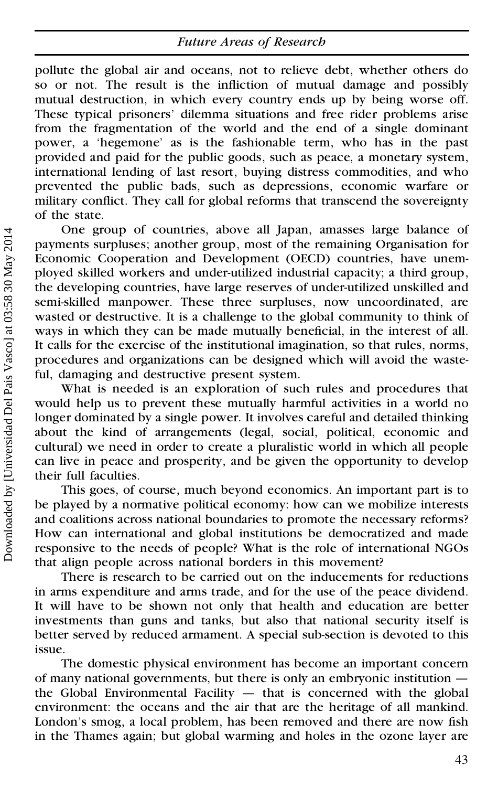pollute the global air and oceans, not to relieve debt, whether others do so or not. The result is the infliction of mutual damage and possibly mutual destruction, in which every country ends up by being worse off. These typical prisoners' dilemma situations and free rider problems arise from the fragmentation of the world and the end of a single dominant power, a 'hegemone' as is the fashionable term, who has in the past provided and paid for the public goods, such as peace, a monetary system, international lending of last resort, buying distress commodities, and who prevented the public bads, such as depressions, economic warfare or military conflict. They call for global reforms that transcend the sovereignty of the state.

One group of countries, above all Japan, amasses large balance of payments surpluses; another group, most of the remaining Organisation for Economic Cooperation and Development (OECD) countries, have unem ployed skilled workers and under-utilized industrial capacity; a third group, the developing countries, have large reserves of under-utilized unskilled and semi-skilled manpower. These three surpluses, now uncoordinated, are wasted or destructive. It is a challenge to the global community to think of ways in which they can be made mutually beneficial, in the interest of all. It calls for the exercise of the institutional imagination, so that rules, norms, procedures and organizations can be designed which will avoid the wasteful, damaging and destructive present system.

What is needed is an exploration of such rules and procedures that would help us to prevent these mutually harmful activities in a world no longer dominated by a single power. It involves careful and detailed thinking about the kind of arrangements (legal, social, political, economic and cultural) we need in order to create a pluralistic world in which all people can live in peace and prosperity, and be given the opportunity to develop their full faculties.

This goes, of course, much beyond economics. An important part is to be played by a normative political economy: how can we mobilize interests and coalitions across national boundaries to promote the necessary reforms? How can international and global institutions be democratized and made responsive to the needs of people? What is the role of international NGOs that align people across national borders in this movement?

There is research to be carried out on the inducements for reductions in arms expenditure and arms trade, and for the use of the peace dividend. It will have to be shown not only that health and education are better investments than guns and tanks, but also that national security itself is better served by reduced armament. A special sub-section is devoted to this issue.

The domestic physical environment has become an important concern of many national governments, but there is only an embryonic institution the Global Environmental Facility  $-$  that is concerned with the global environment: the oceans and the air that are the heritage of all mankind. London's smog, a local problem, has been removed and there are now fish in the Thames again; but global warming and holes in the ozone layer are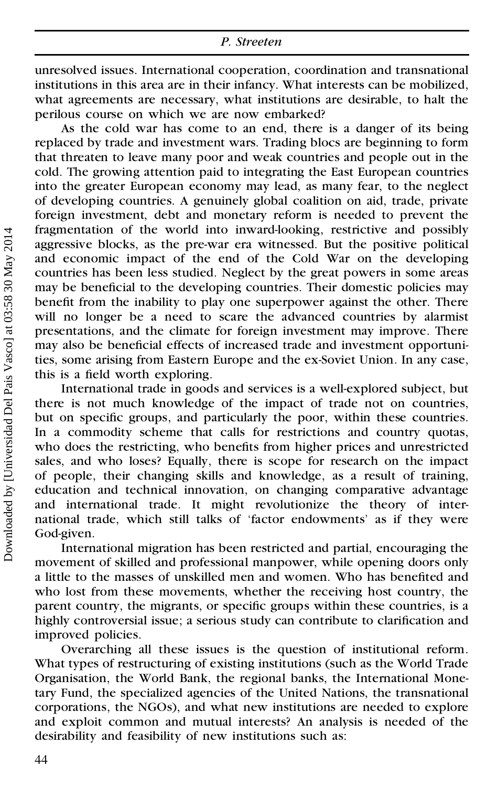#### *P. Streeten*

unresolved issues. International cooperation, coordination and transnational institutions in this area are in their infancy. What interests can be mobilized, what agreements are necessary, what institutions are desirable, to halt the perilous course on which we are now embarked?

As the cold war has come to an end, there is a danger of its being replaced by trade and investment wars. Trading blocs are beginning to form that threaten to leave many poor and weak countries and people out in the cold. The growing attention paid to integrating the East European countries into the greater European economy may lead, as many fear, to the neglect of developing countries. A genuinely global coalition on aid, trade, private foreign investment, debt and monetary reform is needed to prevent the fragmentation of the world into inward-looking, restrictive and possibly aggressive blocks, as the pre-war era witnessed. But the positive political and economic impact of the end of the Cold War on the developing countries has been less studied. Neglect by the great powers in some areas may be beneficial to the developing countries. Their domestic policies may benefit from the inability to play one superpower against the other. There will no longer be a need to scare the advanced countries by alarmist presentations, and the climate for foreign investment may improve. There may also be beneficial effects of increased trade and investment opportunities, some arising from Eastern Europe and the ex-Soviet Union. In any case, this is a field worth exploring.

International trade in goods and services is a well-explored subject, but there is not much knowledge of the impact of trade not on countries, but on specific groups, and particularly the poor, within these countries. In a commodity scheme that calls for restrictions and country quotas, who does the restricting, who benefits from higher prices and unrestricted sales, and who loses? Equally, there is scope for research on the impact of people, their changing skills and knowledge, as a result of training, education and technical innovation, on changing comparative advantage and international trade. It might revolutionize the theory of inter national trade, which still talks of 'factor endowments' as if they were God-given.

International migration has been restricted and partial, encouraging the movement of skilled and professional manpower, while opening doors only a little to the masses of unskilled men and women. Who has benefited and who lost from these movements, whether the receiving host country, the parent country, the migrants, or specific groups within these countries, is a highly controversial issue; a serious study can contribute to clarification and improved policies.

Overarching all these issues is the question of institutional reform. What types of restructuring of existing institutions (such as the World Trade Organisation, the World Bank, the regional banks, the International Monetary Fund, the specialized agencies of the United Nations, the transnational corporations, the NGOs), and what new institutions are needed to explore and exploit common and mutual interests? An analysis is needed of the desirability and feasibility of new institutions such as: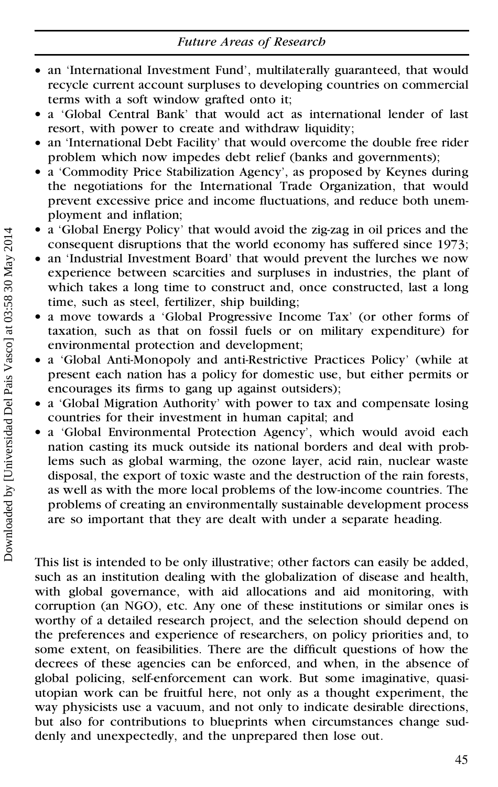- · an 'International Investment Fund', multilaterally guaranteed, that would recycle current account surpluses to developing countries on commercial terms with a soft window grafted onto it;
- · a 'Global Central Bank' that would act as international lender of last resort, with power to create and withdraw liquidity;
- · an 'International Debt Facility' that would overcome the double free rider problem which now impedes debt relief (banks and governments);
- · a 'Commodity Price Stabilization Agency', as proposed by Keynes during the negotiations for the International Trade Organization, that would prevent excessive price and income fluctuations, and reduce both unemployment and inflation;
- · a 'Global Energy Policy' that would avoid the zig-zag in oil prices and the consequent disruptions that the world economy has suffered since 1973;
- · an 'Industrial Investment Board' that would prevent the lurches we now experience between scarcities and surpluses in industries, the plant of which takes a long time to construct and, once constructed, last a long time, such as steel, fertilizer, ship building;
- · a move towards a 'Global Progressive Income Tax' (or other forms of taxation, such as that on fossil fuels or on military expenditure) for environmental protection and development;
- · a 'Global Anti-Monopoly and anti-Restrictive Practices Policy' (while at present each nation has a policy for domestic use, but either permits or encourages its firms to gang up against outsiders);
- · a 'Global Migration Authority' with power to tax and compensate losing countries for their investment in human capital; and
- · a 'Global Environmental Protection Agency', which would avoid each nation casting its muck outside its national borders and deal with problems such as global warming, the ozone layer, acid rain, nuclear waste disposal, the export of toxic waste and the destruction of the rain forests, as well as with the more local problems of the low-income countries. The problems of creating an environmentally sustainable development process are so important that they are dealt with under a separate heading.

This list is intended to be only illustrative; other factors can easily be added, such as an institution dealing with the globalization of disease and health, with global governance, with aid allocations and aid monitoring, with corruption (an NGO), etc. Any one of these institutions or similar ones is worthy of a detailed research project, and the selection should depend on the preferences and experience of researchers, on policy priorities and, to some extent, on feasibilities. There are the difficult questions of how the decrees of these agencies can be enforced, and when, in the absence of global policing, self-enforcement can work. But some imaginative, quasi utopian work can be fruitful here, not only as a thought experiment, the way physicists use a vacuum, and not only to indicate desirable directions, but also for contributions to blueprints when circumstances change sud denly and unexpectedly, and the unprepared then lose out.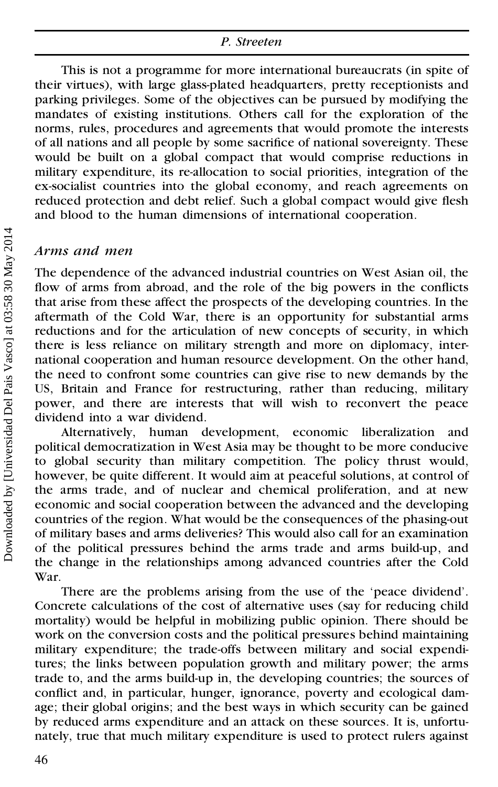#### *P. Streeten*

This is not a programme for more international bureaucrats (in spite of their virtues), with large glass-plated headquarters, pretty receptionists and parking privileges. Some of the objectives can be pursued by modifying the mandates of existing institutions. Others call for the exploration of the norms, rules, procedures and agreements that would promote the interests of all nations and all people by some sacrifice of national sovereignty. These would be built on a global compact that would comprise reductions in military expenditure, its re-allocation to social priorities, integration of the ex-socialist countries into the global economy, and reach agreements on reduced protection and debt relief. Such a global compact would give flesh and blood to the human dimensions of international cooperation.

### *Arms and men*

The dependence of the advanced industrial countries on West Asian oil, the flow of arms from abroad, and the role of the big powers in the conflicts that arise from these affect the prospects of the developing countries. In the aftermath of the Cold War, there is an opportunity for substantial arms reductions and for the articulation of new concepts of security, in which there is less reliance on military strength and more on diplomacy, inter national cooperation and human resource development. On the other hand, the need to confront some countries can give rise to new demands by the US, Britain and France for restructuring, rather than reducing, military power, and there are interests that will wish to reconvert the peace dividend into a war dividend.

Alternatively, human development, economic liberalization and political democratization in West Asia may be thought to be more conducive to global security than military competition. The policy thrust would, however, be quite different. It would aim at peaceful solutions, at control of the arms trade, and of nuclear and chemical proliferation, and at new economic and social cooperation between the advanced and the developing countries of the region. What would be the consequences of the phasing-out of military bases and arms deliveries? This would also call for an examination of the political pressures behind the arms trade and arms build-up, and the change in the relationships among advanced countries after the Cold War.

There are the problems arising from the use of the 'peace dividend'. Concrete calculations of the cost of alternative uses (say for reducing child mortality) would be helpful in mobilizing public opinion. There should be work on the conversion costs and the political pressures behind maintaining military expenditure; the trade-offs between military and social expenditures; the links between population growth and military power; the arms trade to, and the arms build-up in, the developing countries; the sources of conflict and, in particular, hunger, ignorance, poverty and ecological damage; their global origins; and the best ways in which security can be gained by reduced arms expenditure and an attack on these sources. It is, unfortu nately, true that much military expenditure is used to protect rulers against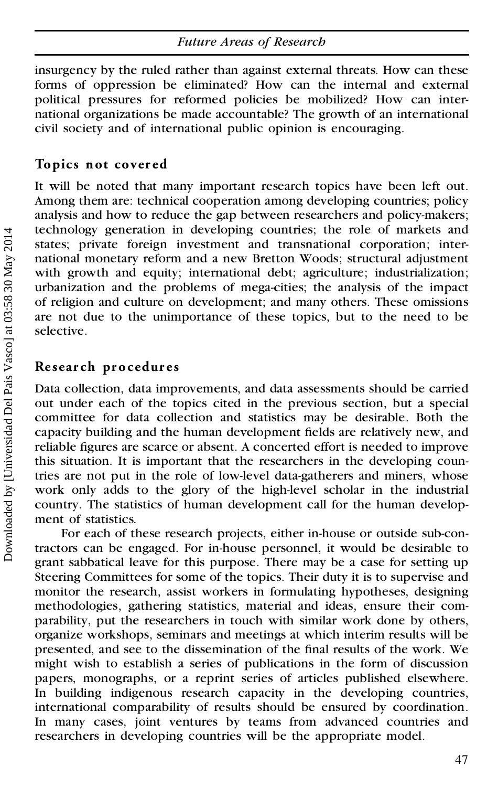insurgency by the ruled rather than against external threats. How can these forms of oppression be eliminated? How can the internal and external political pressures for reformed policies be mobilized? How can inter national organizations be made accountable? The growth of an international civil society and of international public opinion is encouraging.

## **Topics not cover ed**

It will be noted that many important research topics have been left out. Among them are: technical cooperation among developing countries; policy analysis and how to reduce the gap between researchers and policy-makers; technology generation in developing countries; the role of markets and states; private foreign investment and transnational corporation; inter national monetary reform and a new Bretton Woods; structural adjustment with growth and equity; international debt; agriculture; industrialization; urbanization and the problems of mega-cities; the analysis of the impact of religion and culture on development; and many others. These omissions are not due to the unimportance of these topics, but to the need to be selective.

## **Resear ch procedur es**

Data collection, data improvements, and data assessments should be carried out under each of the topics cited in the previous section, but a special committee for data collection and statistics may be desirable. Both the capacity building and the human development fields are relatively new, and reliable figures are scarce or absent. A concerted effort is needed to improve this situation. It is important that the researchers in the developing countries are not put in the role of low-level data-gatherers and miners, whose work only adds to the glory of the high-level scholar in the industrial country. The statistics of human development call for the human develop ment of statistics.

For each of these research projects, either in-house or outside sub-contractors can be engaged. For in-house personnel, it would be desirable to grant sabbatical leave for this purpose. There may be a case for setting up Steering Committees for some of the topics. Their duty it is to supervise and monitor the research, assist workers in formulating hypotheses, designing methodologies, gathering statistics, material and ideas, ensure their com parability, put the researchers in touch with similar work done by others, organize workshops, seminars and meetings at which interim results will be presented, and see to the dissemination of the nal results of the work. We might wish to establish a series of publications in the form of discussion papers, monographs, or a reprint series of articles published elsewhere. In building indigenous research capacity in the developing countries, international comparability of results should be ensured by coordination. In many cases, joint ventures by teams from advanced countries and researchers in developing countries will be the appropriate model.